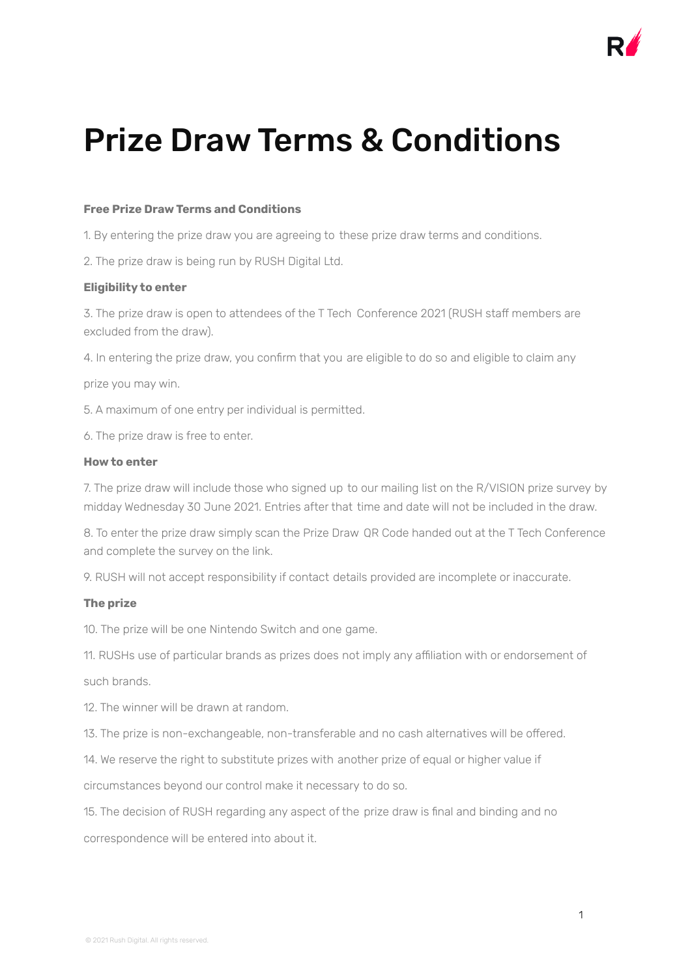

# Prize Draw Terms & Conditions

## **Free Prize Draw Terms and Conditions**

1. By entering the prize draw you are agreeing to these prize draw terms and conditions.

2. The prize draw is being run by RUSH Digital Ltd.

# **Eligibility to enter**

3. The prize draw is open to attendees of the T Tech Conference 2021 (RUSH staff members are excluded from the draw).

4. In entering the prize draw, you confirm that you are eligible to do so and eligible to claim any

prize you may win.

5. A maximum of one entry per individual is permitted.

6. The prize draw is free to enter.

### **How to enter**

7. The prize draw will include those who signed up to our mailing list on the R/VISION prize survey by midday Wednesday 30 June 2021. Entries after that time and date will not be included in the draw.

8. To enter the prize draw simply scan the Prize Draw QR Code handed out at the T Tech Conference and complete the survey on the link.

9. RUSH will not accept responsibility if contact details provided are incomplete or inaccurate.

# **The prize**

10. The prize will be one Nintendo Switch and one game.

11. RUSHs use of particular brands as prizes does not imply any affiliation with or endorsement of such brands.

12. The winner will be drawn at random.

13. The prize is non-exchangeable, non-transferable and no cash alternatives will be offered.

14. We reserve the right to substitute prizes with another prize of equal or higher value if

circumstances beyond our control make it necessary to do so.

15. The decision of RUSH regarding any aspect of the prize draw is final and binding and no correspondence will be entered into about it.